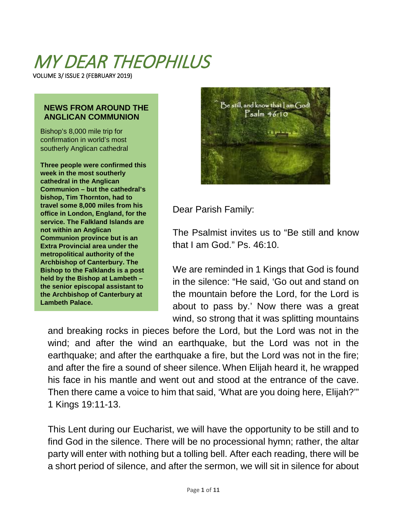# MY DEAR THEOPHILUS

VOLUME 3/ ISSUE 2 (FEBRUARY 2019)

#### **NEWS FROM AROUND THE ANGLICAN COMMUNION**

Bishop's 8,000 mile trip for confirmation in world's most southerly Anglican cathedral

**Three people were confirmed this week in the most southerly cathedral in the Anglican Communion – but the cathedral's bishop, Tim Thornton, had to travel some 8,000 miles from his office in London, England, for the service. The Falkland Islands are not within an Anglican Communion province but is an Extra Provincial area under the metropolitical authority of the Archbishop of Canterbury. The Bishop to the Falklands is a post held by the Bishop at Lambeth – the senior episcopal assistant to the Archbishop of Canterbury at Lambeth Palace.**



Dear Parish Family:

The Psalmist invites us to "Be still and know that I am God." Ps. 46:10.

We are reminded in 1 Kings that God is found in the silence: "He said, 'Go out and stand on the mountain before the Lord, for the Lord is about to pass by.' Now there was a great wind, so strong that it was splitting mountains

and breaking rocks in pieces before the Lord, but the Lord was not in the wind; and after the wind an earthquake, but the Lord was not in the earthquake; and after the earthquake a fire, but the Lord was not in the fire; and after the fire a sound of sheer silence. When Elijah heard it, he wrapped his face in his mantle and went out and stood at the entrance of the cave. Then there came a voice to him that said, 'What are you doing here, Elijah?'" 1 Kings 19:11-13.

This Lent during our Eucharist, we will have the opportunity to be still and to find God in the silence. There will be no processional hymn; rather, the altar party will enter with nothing but a tolling bell. After each reading, there will be a short period of silence, and after the sermon, we will sit in silence for about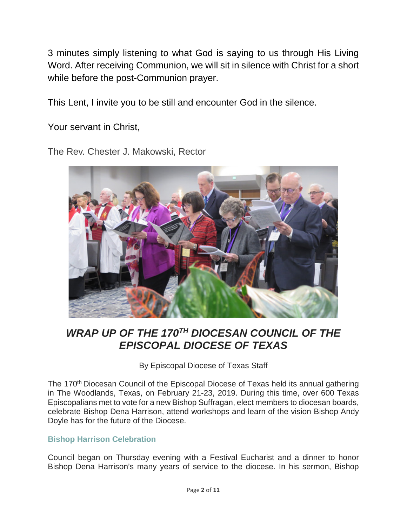3 minutes simply listening to what God is saying to us through His Living Word. After receiving Communion, we will sit in silence with Christ for a short while before the post-Communion prayer.

This Lent, I invite you to be still and encounter God in the silence.

Your servant in Christ,

The Rev. Chester J. Makowski, Rector



### *WRAP UP OF THE 170TH DIOCESAN COUNCIL OF THE EPISCOPAL DIOCESE OF TEXAS*

By Episcopal Diocese of Texas Staff

The 170<sup>th</sup> Diocesan Council of the Episcopal Diocese of Texas held its annual gathering in The Woodlands, Texas, on February 21-23, 2019. During this time, over 600 Texas Episcopalians met to vote for a new Bishop Suffragan, elect members to diocesan boards, celebrate Bishop Dena Harrison, attend workshops and learn of the vision Bishop Andy Doyle has for the future of the Diocese.

### **[Bishop Harrison Celebration](https://www.epicenter.org/galleries/bishop-harrison-celebration/)**

Council began on Thursday evening with a Festival Eucharist and a dinner to honor Bishop Dena Harrison's many years of service to the diocese. In his sermon, Bishop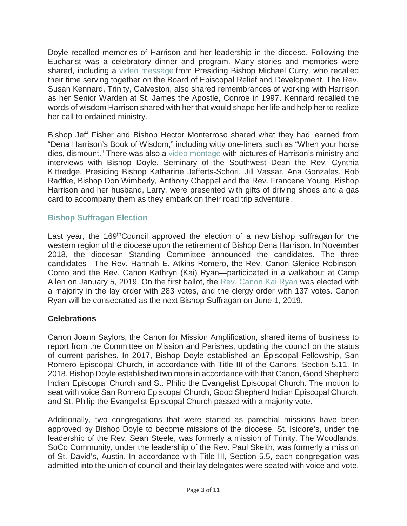Doyle recalled memories of Harrison and her leadership in the diocese. Following the Eucharist was a celebratory dinner and program. Many stories and memories were shared, including a [video message](https://www.youtube.com/watch?time_continue=1&v=El_bARQws9M) from Presiding Bishop Michael Curry, who recalled their time serving together on the Board of Episcopal Relief and Development. The Rev. Susan Kennard, Trinity, Galveston, also shared remembrances of working with Harrison as her Senior Warden at St. James the Apostle, Conroe in 1997. Kennard recalled the words of wisdom Harrison shared with her that would shape her life and help her to realize her call to ordained ministry.

Bishop Jeff Fisher and Bishop Hector Monterroso shared what they had learned from "Dena Harrison's Book of Wisdom," including witty one-liners such as "When your horse dies, dismount." There was also a [video montage](https://www.youtube.com/watch?v=KMwm4ZCfb1M) with pictures of Harrison's ministry and interviews with Bishop Doyle, Seminary of the Southwest Dean the Rev. Cynthia Kittredge, Presiding Bishop Katharine Jefferts-Schori, Jill Vassar, Ana Gonzales, Rob Radtke, Bishop Don Wimberly, Anthony Chappel and the Rev. Francene Young. Bishop Harrison and her husband, Larry, were presented with gifts of driving shoes and a gas card to accompany them as they embark on their road trip adventure.

### **[Bishop Suffragan Election](https://www.epicenter.org/article/kathryn-ryan-elected-new-bishop-suffragan/)**

Last year, the 169<sup>th</sup>Council approved the election of a new bishop suffragan for the western region of the diocese upon the retirement of Bishop Dena Harrison. In November 2018, the diocesan Standing Committee announced the candidates. The three candidates—The Rev. Hannah E. Atkins Romero, the Rev. Canon Glenice Robinson-Como and the Rev. Canon Kathryn (Kai) Ryan—participated in a walkabout at Camp Allen on January 5, 2019. On the first ballot, the [Rev. Canon Kai Ryan](https://www.youtube.com/watch?v=d8hohbDWWCg) was elected with a majority in the lay order with 283 votes, and the clergy order with 137 votes. Canon Ryan will be consecrated as the next Bishop Suffragan on June 1, 2019.

### **Celebrations**

Canon Joann Saylors, the Canon for Mission Amplification, shared items of business to report from the Committee on Mission and Parishes, updating the council on the status of current parishes. In 2017, Bishop Doyle established an Episcopal Fellowship, San Romero Episcopal Church, in accordance with Title III of the Canons, Section 5.11. In 2018, Bishop Doyle established two more in accordance with that Canon, Good Shepherd Indian Episcopal Church and St. Philip the Evangelist Episcopal Church. The motion to seat with voice San Romero Episcopal Church, Good Shepherd Indian Episcopal Church, and St. Philip the Evangelist Episcopal Church passed with a majority vote.

Additionally, two congregations that were started as parochial missions have been approved by Bishop Doyle to become missions of the diocese. St. Isidore's, under the leadership of the Rev. Sean Steele, was formerly a mission of Trinity, The Woodlands. SoCo Community, under the leadership of the Rev. Paul Skeith, was formerly a mission of St. David's, Austin. In accordance with Title III, Section 5.5, each congregation was admitted into the union of council and their lay delegates were seated with voice and vote.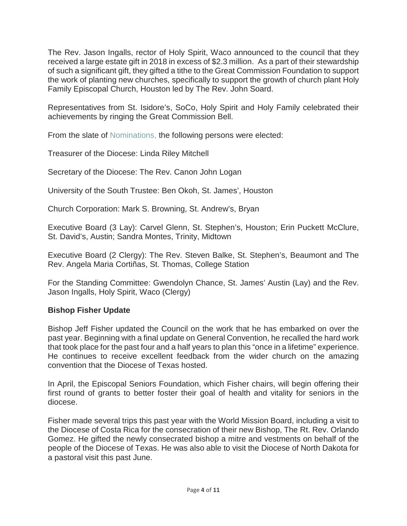The Rev. Jason Ingalls, rector of Holy Spirit, Waco announced to the council that they received a large estate gift in 2018 in excess of \$2.3 million. As a part of their stewardship of such a significant gift, they gifted a tithe to the Great Commission Foundation to support the work of planting new churches, specifically to support the growth of church plant Holy Family Episcopal Church, Houston led by The Rev. John Soard.

Representatives from St. Isidore's, SoCo, Holy Spirit and Holy Family celebrated their achievements by ringing the Great Commission Bell.

From the slate of [Nominations,](https://28f7fb3fa1a43717a53b-cb342165bfeaa4f2927aec8e5d7de41f.ssl.cf2.rackcdn.com/uploaded/2/0e8266455_1549904860_2019-nomination-slate.pdf) the following persons were elected:

Treasurer of the Diocese: Linda Riley Mitchell

Secretary of the Diocese: The Rev. Canon John Logan

University of the South Trustee: Ben Okoh, St. James', Houston

Church Corporation: Mark S. Browning, St. Andrew's, Bryan

Executive Board (3 Lay): Carvel Glenn, St. Stephen's, Houston; Erin Puckett McClure, St. David's, Austin; Sandra Montes, Trinity, Midtown

Executive Board (2 Clergy): The Rev. Steven Balke, St. Stephen's, Beaumont and The Rev. Angela Maria Cortiñas, St. Thomas, College Station

For the Standing Committee: Gwendolyn Chance, St. James' Austin (Lay) and the Rev. Jason Ingalls, Holy Spirit, Waco (Clergy)

### **Bishop Fisher Update**

Bishop Jeff Fisher updated the Council on the work that he has embarked on over the past year. Beginning with a final update on General Convention, he recalled the hard work that took place for the past four and a half years to plan this "once in a lifetime" experience. He continues to receive excellent feedback from the wider church on the amazing convention that the Diocese of Texas hosted.

In April, the Episcopal Seniors Foundation, which Fisher chairs, will begin offering their first round of grants to better foster their goal of health and vitality for seniors in the diocese.

Fisher made several trips this past year with the World Mission Board, including a visit to the Diocese of Costa Rica for the consecration of their new Bishop, The Rt. Rev. Orlando Gomez. He gifted the newly consecrated bishop a mitre and vestments on behalf of the people of the Diocese of Texas. He was also able to visit the Diocese of North Dakota for a pastoral visit this past June.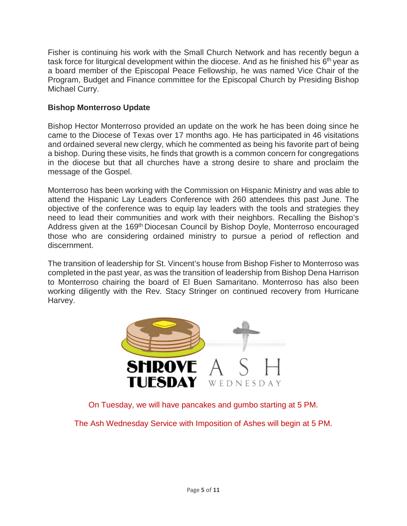Fisher is continuing his work with the Small Church Network and has recently begun a task force for liturgical development within the diocese. And as he finished his  $6<sup>th</sup>$  year as a board member of the Episcopal Peace Fellowship, he was named Vice Chair of the Program, Budget and Finance committee for the Episcopal Church by Presiding Bishop Michael Curry.

### **Bishop Monterroso Update**

Bishop Hector Monterroso provided an update on the work he has been doing since he came to the Diocese of Texas over 17 months ago. He has participated in 46 visitations and ordained several new clergy, which he commented as being his favorite part of being a bishop. During these visits, he finds that growth is a common concern for congregations in the diocese but that all churches have a strong desire to share and proclaim the message of the Gospel.

Monterroso has been working with the Commission on Hispanic Ministry and was able to attend the Hispanic Lay Leaders Conference with 260 attendees this past June. The objective of the conference was to equip lay leaders with the tools and strategies they need to lead their communities and work with their neighbors. Recalling the Bishop's Address given at the 169<sup>th</sup> Diocesan Council by Bishop Doyle, Monterroso encouraged those who are considering ordained ministry to pursue a period of reflection and discernment.

The transition of leadership for St. Vincent's house from Bishop Fisher to Monterroso was completed in the past year, as was the transition of leadership from Bishop Dena Harrison to Monterroso chairing the board of El Buen Samaritano. Monterroso has also been working diligently with the Rev. Stacy Stringer on continued recovery from Hurricane Harvey.



On Tuesday, we will have pancakes and gumbo starting at 5 PM.

The Ash Wednesday Service with Imposition of Ashes will begin at 5 PM.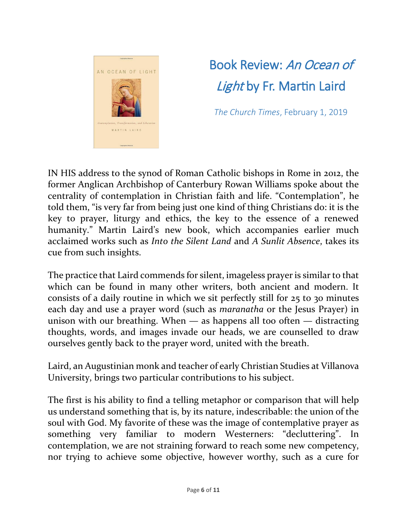

## Book Review: An Ocean of Light by Fr. Martin Laird

*The Church Times*, February 1, 2019

IN HIS address to the synod of Roman Catholic bishops in Rome in 2012, the former Anglican Archbishop of Canterbury Rowan Williams spoke about the centrality of contemplation in Christian faith and life. "Contemplation", he told them, "is very far from being just one kind of thing Christians do: it is the key to prayer, liturgy and ethics, the key to the essence of a renewed humanity." Martin Laird's new book, which accompanies earlier much acclaimed works such as *Into the Silent Land* and *A Sunlit Absence*, takes its cue from such insights.

The practice that Laird commends for silent, imageless prayer is similar to that which can be found in many other writers, both ancient and modern. It consists of a daily routine in which we sit perfectly still for 25 to 30 minutes each day and use a prayer word (such as *maranatha* or the Jesus Prayer) in unison with our breathing. When  $-$  as happens all too often  $-$  distracting thoughts, words, and images invade our heads, we are counselled to draw ourselves gently back to the prayer word, united with the breath.

Laird, an Augustinian monk and teacher of early Christian Studies at Villanova University, brings two particular contributions to his subject.

The first is his ability to find a telling metaphor or comparison that will help us understand something that is, by its nature, indescribable: the union of the soul with God. My favorite of these was the image of contemplative prayer as something very familiar to modern Westerners: "decluttering". In contemplation, we are not straining forward to reach some new competency, nor trying to achieve some objective, however worthy, such as a cure for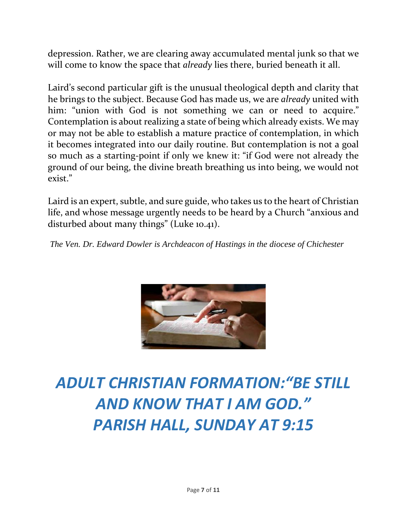depression. Rather, we are clearing away accumulated mental junk so that we will come to know the space that *already* lies there, buried beneath it all.

Laird's second particular gift is the unusual theological depth and clarity that he brings to the subject. Because God has made us, we are *already* united with him: "union with God is not something we can or need to acquire." Contemplation is about realizing a state of being which already exists. We may or may not be able to establish a mature practice of contemplation, in which it becomes integrated into our daily routine. But contemplation is not a goal so much as a starting-point if only we knew it: "if God were not already the ground of our being, the divine breath breathing us into being, we would not exist."

Laird is an expert, subtle, and sure guide, who takes us to the heart of Christian life, and whose message urgently needs to be heard by a Church "anxious and disturbed about many things" (Luke 10.41).

*The Ven. Dr. Edward Dowler is Archdeacon of Hastings in the diocese of Chichester*



## *ADULT CHRISTIAN FORMATION:"BE STILL AND KNOW THAT I AM GOD." PARISH HALL, SUNDAY AT 9:15*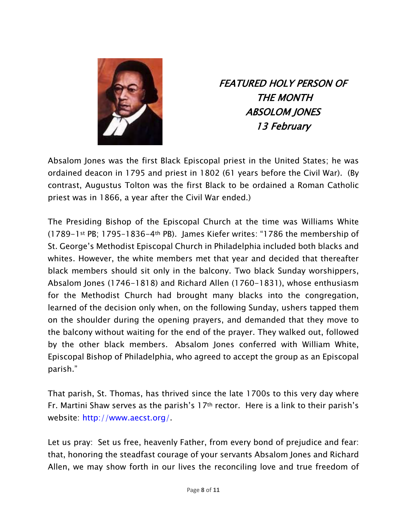

FEATURED HOLY PERSON OF THE MONTH ABSOLOM JONES 13 February

Absalom Jones was the first Black Episcopal priest in the United States; he was ordained deacon in 1795 and priest in 1802 (61 years before the Civil War). (By contrast, Augustus Tolton was the first Black to be ordained a Roman Catholic priest was in 1866, a year after the Civil War ended.)

The Presiding Bishop of the Episcopal Church at the time was Williams White (1789-1st PB; 1795–1836-4th PB). James Kiefer writes: "1786 the membership of St. George's Methodist Episcopal Church in Philadelphia included both blacks and whites. However, the white members met that year and decided that thereafter black members should sit only in the balcony. Two black Sunday worshippers, Absalom Jones (1746-1818) and Richard Allen (1760-1831), whose enthusiasm for the Methodist Church had brought many blacks into the congregation, learned of the decision only when, on the following Sunday, ushers tapped them on the shoulder during the opening prayers, and demanded that they move to the balcony without waiting for the end of the prayer. They walked out, followed by the other black members. Absalom Jones conferred with William White, Episcopal Bishop of Philadelphia, who agreed to accept the group as an Episcopal parish."

That parish, St. Thomas, has thrived since the late 1700s to this very day where Fr. Martini Shaw serves as the parish's 17th rector. Here is a link to their parish's website: [http://www.aecst.org/.](http://www.aecst.org/)

Let us pray: Set us free, heavenly Father, from every bond of prejudice and fear: that, honoring the steadfast courage of your servants Absalom Jones and Richard Allen, we may show forth in our lives the reconciling love and true freedom of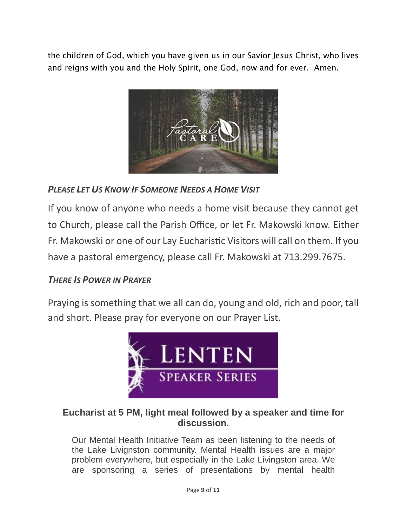the children of God, which you have given us in our Savior Jesus Christ, who lives and reigns with you and the Holy Spirit, one God, now and for ever. Amen.



*PLEASE LET US KNOW IF SOMEONE NEEDS A HOME VISIT*

If you know of anyone who needs a home visit because they cannot get to Church, please call the Parish Office, or let Fr. Makowski know. Either Fr. Makowski or one of our Lay Eucharistic Visitors will call on them. If you have a pastoral emergency, please call Fr. Makowski at 713.299.7675.

### *THERE IS POWER IN PRAYER*

Praying is something that we all can do, young and old, rich and poor, tall and short. Please pray for everyone on our Prayer List.



### **Eucharist at 5 PM, light meal followed by a speaker and time for discussion.**

Our Mental Health Initiative Team as been listening to the needs of the Lake Livignston community. Mental Health issues are a major problem everywhere, but especially in the Lake Livingston area. We are sponsoring a series of presentations by mental health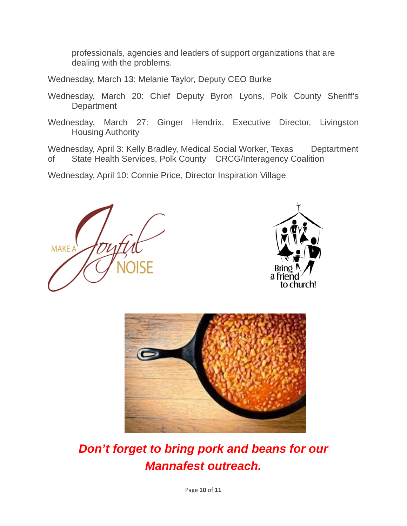professionals, agencies and leaders of support organizations that are dealing with the problems.

Wednesday, March 13: Melanie Taylor, Deputy CEO Burke

- Wednesday, March 20: Chief Deputy Byron Lyons, Polk County Sheriff's **Department**
- Wednesday, March 27: Ginger Hendrix, Executive Director, Livingston Housing Authority

Wednesday, April 3: Kelly Bradley, Medical Social Worker, Texas Deptartment of State Health Services, Polk County CRCG/Interagency Coalition

Wednesday, April 10: Connie Price, Director Inspiration Village







## *Don't forget to bring pork and beans for our Mannafest outreach.*

Page **10** of **11**